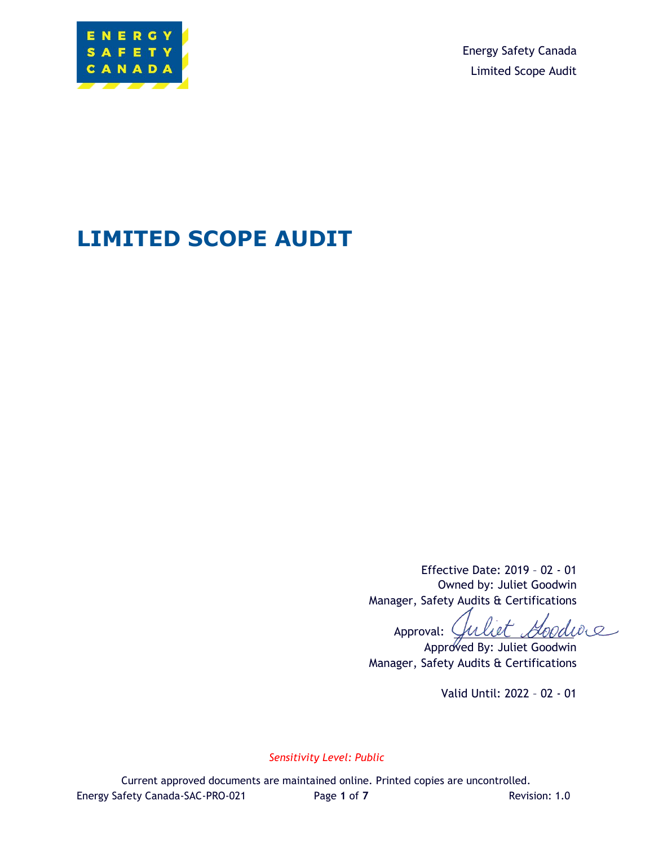

Energy Safety Canada Limited Scope Audit

# **LIMITED SCOPE AUDIT**

Effective Date: 2019 – 02 - 01 Owned by: Juliet Goodwin Manager, Safety Audits & Certifications

Approval: Guliet Goodwe

Approved By: Juliet Goodwin Manager, Safety Audits & Certifications

Valid Until: 2022 – 02 - 01

*Sensitivity Level: Public*

Current approved documents are maintained online. Printed copies are uncontrolled. Energy Safety Canada-SAC-PRO-021 Page 1 of 7 Revision: 1.0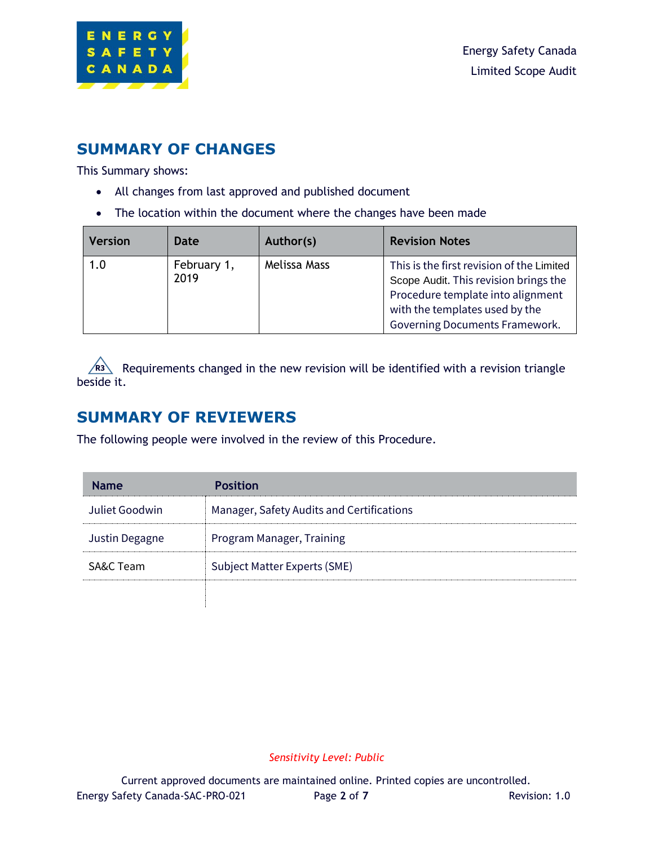

### **SUMMARY OF CHANGES**

This Summary shows:

- All changes from last approved and published document
- The location within the document where the changes have been made

| <b>Version</b> | Date                | Author(s)    | <b>Revision Notes</b>                                                                                                                                                                       |
|----------------|---------------------|--------------|---------------------------------------------------------------------------------------------------------------------------------------------------------------------------------------------|
| 1.0            | February 1,<br>2019 | Melissa Mass | This is the first revision of the Limited<br>Scope Audit. This revision brings the<br>Procedure template into alignment<br>with the templates used by the<br>Governing Documents Framework. |

Requirements changed in the new revision will be identified with a revision triangle beside it.

### **SUMMARY OF REVIEWERS**

The following people were involved in the review of this Procedure.

| <b>Name</b>    | <b>Position</b>                           |
|----------------|-------------------------------------------|
| Juliet Goodwin | Manager, Safety Audits and Certifications |
| Justin Degagne | Program Manager, Training                 |
| SA&C Team      | Subject Matter Experts (SME)              |
|                |                                           |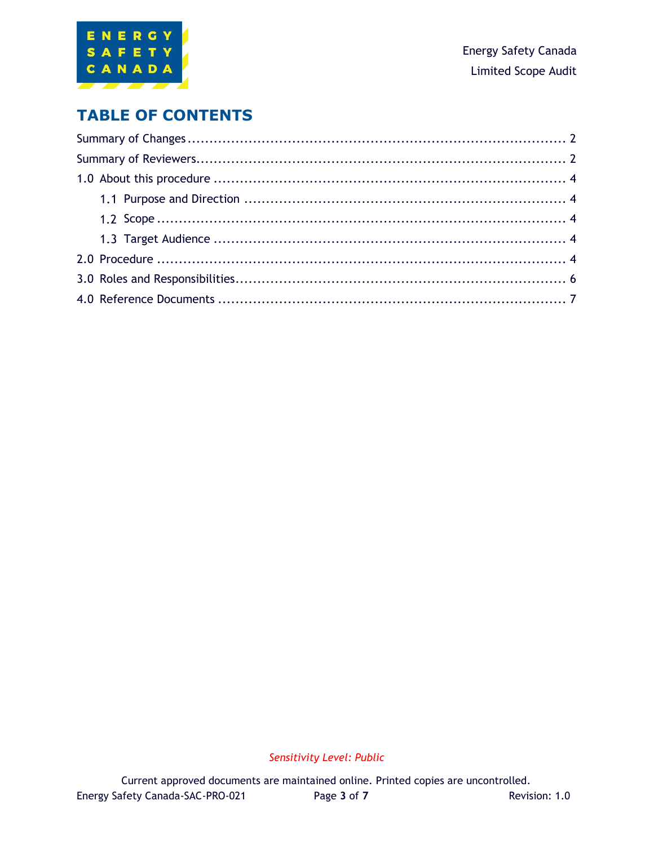

### **TABLE OF CONTENTS**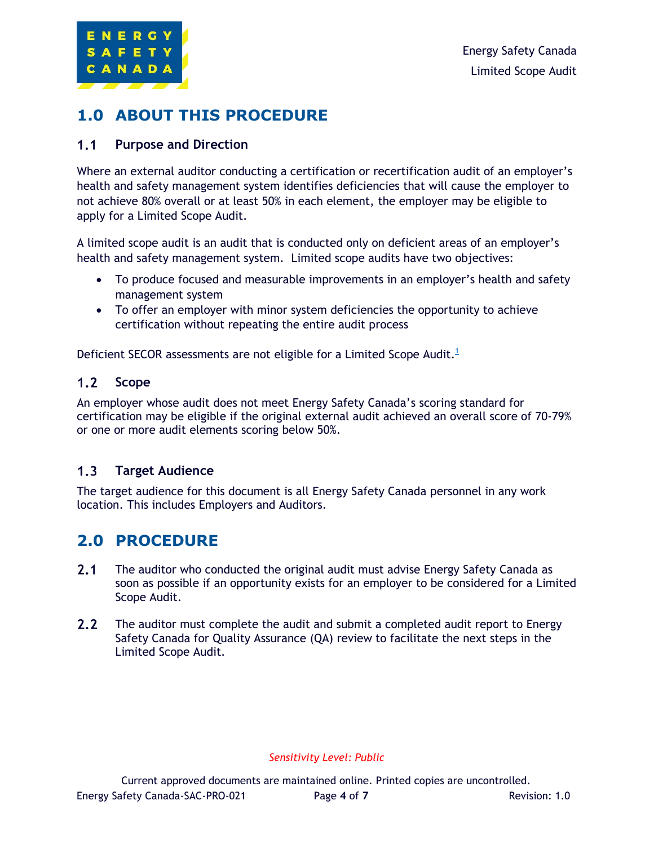

### **1.0 ABOUT THIS PROCEDURE**

#### $1.1$ **Purpose and Direction**

Where an external auditor conducting a certification or recertification audit of an employer's health and safety management system identifies deficiencies that will cause the employer to not achieve 80% overall or at least 50% in each element, the employer may be eligible to apply for a Limited Scope Audit.

A limited scope audit is an audit that is conducted only on deficient areas of an employer's health and safety management system. Limited scope audits have two objectives:

- To produce focused and measurable improvements in an employer's health and safety management system
- To offer an employer with minor system deficiencies the opportunity to achieve certification without repeating the entire audit process

Deficient SECOR assessments are not eligible for a Limited Scope Audit. $1$ 

#### $1.2$ **Scope**

An employer whose audit does not meet Energy Safety Canada's scoring standard for certification may be eligible if the original external audit achieved an overall score of 70-79% or one or more audit elements scoring below 50%.

#### $1.3$ **Target Audience**

The target audience for this document is all Energy Safety Canada personnel in any work location. This includes Employers and Auditors.

### **2.0 PROCEDURE**

- $2.1$ The auditor who conducted the original audit must advise Energy Safety Canada as soon as possible if an opportunity exists for an employer to be considered for a Limited Scope Audit.
- $2.2$ The auditor must complete the audit and submit a completed audit report to Energy Safety Canada for Quality Assurance (QA) review to facilitate the next steps in the Limited Scope Audit.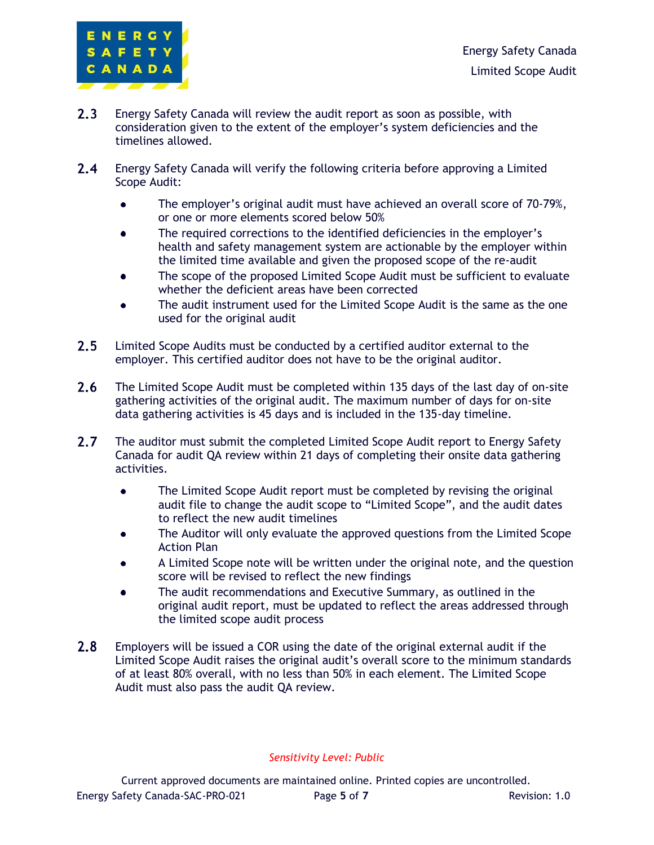

- $2.3$ Energy Safety Canada will review the audit report as soon as possible, with consideration given to the extent of the employer's system deficiencies and the timelines allowed.
- $2.4$ Energy Safety Canada will verify the following criteria before approving a Limited Scope Audit:
	- The employer's original audit must have achieved an overall score of 70-79%,  $\bullet$ or one or more elements scored below 50%
	- The required corrections to the identified deficiencies in the employer's  $\bullet$ health and safety management system are actionable by the employer within the limited time available and given the proposed scope of the re-audit
	- The scope of the proposed Limited Scope Audit must be sufficient to evaluate whether the deficient areas have been corrected
	- The audit instrument used for the Limited Scope Audit is the same as the one used for the original audit
- $2.5$ Limited Scope Audits must be conducted by a certified auditor external to the employer. This certified auditor does not have to be the original auditor.
- $2.6$ The Limited Scope Audit must be completed within 135 days of the last day of on-site gathering activities of the original audit. The maximum number of days for on-site data gathering activities is 45 days and is included in the 135-day timeline.
- $2.7$ The auditor must submit the completed Limited Scope Audit report to Energy Safety Canada for audit QA review within 21 days of completing their onsite data gathering activities.
	- $\bullet$ The Limited Scope Audit report must be completed by revising the original audit file to change the audit scope to "Limited Scope", and the audit dates to reflect the new audit timelines
	- The Auditor will only evaluate the approved questions from the Limited Scope Action Plan
	- A Limited Scope note will be written under the original note, and the question  $\bullet$ score will be revised to reflect the new findings
	- The audit recommendations and Executive Summary, as outlined in the original audit report, must be updated to reflect the areas addressed through the limited scope audit process
- $2.8$ Employers will be issued a COR using the date of the original external audit if the Limited Scope Audit raises the original audit's overall score to the minimum standards of at least 80% overall, with no less than 50% in each element. The Limited Scope Audit must also pass the audit QA review.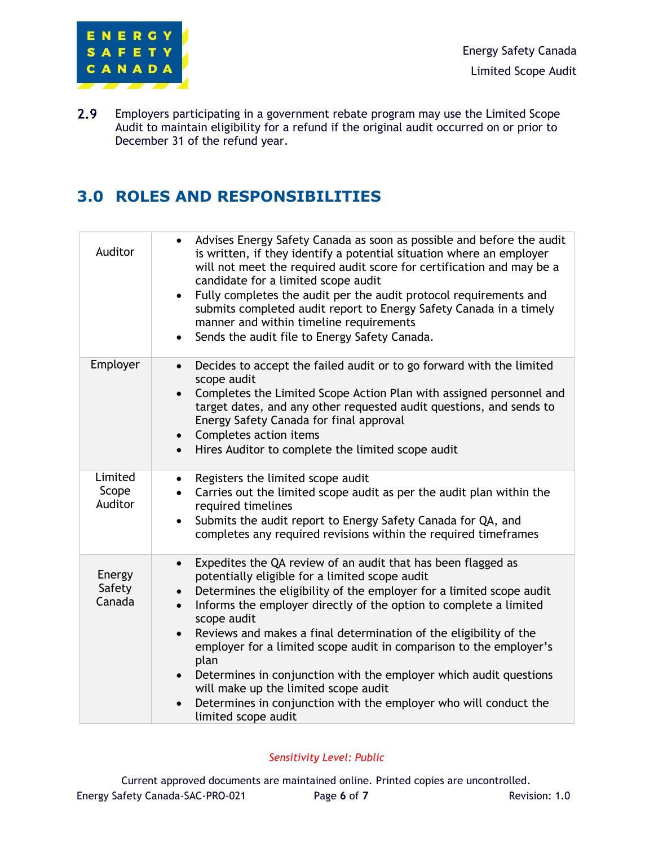

 $2.9$ Employers participating in a government rebate program may use the Limited Scope Audit to maintain eligibility for a refund if the original audit occurred on or prior to December 31 of the refund year.

## **3.0 ROLES AND RESPONSIBILITIES**

| Auditor                     | Advises Energy Safety Canada as soon as possible and before the audit<br>is written, if they identify a potential situation where an employer<br>will not meet the required audit score for certification and may be a<br>candidate for a limited scope audit<br>Fully completes the audit per the audit protocol requirements and<br>submits completed audit report to Energy Safety Canada in a timely<br>manner and within timeline requirements<br>Sends the audit file to Energy Safety Canada.                                                                                                                                                                                      |
|-----------------------------|-------------------------------------------------------------------------------------------------------------------------------------------------------------------------------------------------------------------------------------------------------------------------------------------------------------------------------------------------------------------------------------------------------------------------------------------------------------------------------------------------------------------------------------------------------------------------------------------------------------------------------------------------------------------------------------------|
| Employer                    | Decides to accept the failed audit or to go forward with the limited<br>$\bullet$<br>scope audit<br>Completes the Limited Scope Action Plan with assigned personnel and<br>target dates, and any other requested audit questions, and sends to<br>Energy Safety Canada for final approval<br>Completes action items<br>Hires Auditor to complete the limited scope audit<br>$\bullet$                                                                                                                                                                                                                                                                                                     |
| Limited<br>Scope<br>Auditor | Registers the limited scope audit<br>$\bullet$<br>Carries out the limited scope audit as per the audit plan within the<br>$\bullet$<br>required timelines<br>Submits the audit report to Energy Safety Canada for QA, and<br>completes any required revisions within the required timeframes                                                                                                                                                                                                                                                                                                                                                                                              |
| Energy<br>Safety<br>Canada  | Expedites the QA review of an audit that has been flagged as<br>$\bullet$<br>potentially eligible for a limited scope audit<br>Determines the eligibility of the employer for a limited scope audit<br>$\bullet$<br>Informs the employer directly of the option to complete a limited<br>$\bullet$<br>scope audit<br>Reviews and makes a final determination of the eligibility of the<br>employer for a limited scope audit in comparison to the employer's<br>plan<br>Determines in conjunction with the employer which audit questions<br>$\bullet$<br>will make up the limited scope audit<br>Determines in conjunction with the employer who will conduct the<br>limited scope audit |